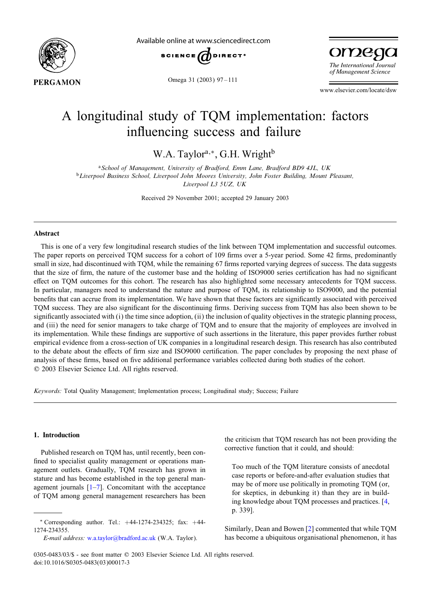

Available online at www.sciencedirect.com



omega The International Journal of Management Science

Omega 31 (2003) 97-111

www.elsevier.com/locate/dsw

## A longitudinal study of TQM implementation: factors influencing success and failure

W.A. Taylor<sup>a,∗</sup>, G.H. Wright<sup>b</sup>

<sup>a</sup>*School of Management, University of Bradford, Emm Lane, Bradford BD9 4JL, UK* <sup>b</sup>*Liverpool Business School, Liverpool John Moores University, John Foster Building, Mount Pleasant, Liverpool L3 5UZ, UK*

Received 29 November 2001; accepted 29 January 2003

### Abstract

This is one of a very few longitudinal research studies of the link between TQM implementation and successful outcomes. The paper reports on perceived TOM success for a cohort of 109 firms over a 5-year period. Some 42 firms, predominantly small in size, had discontinued with TQM, while the remaining 67 firms reported varying degrees of success. The data suggests that the size of firm, the nature of the customer base and the holding of ISO9000 series certification has had no significant effect on TQM outcomes for this cohort. The research has also highlighted some necessary antecedents for TQM success. In particular, managers need to understand the nature and purpose of TQM, its relationship to ISO9000, and the potential benefits that can accrue from its implementation. We have shown that these factors are significantly associated with perceived TQM success. They are also significant for the discontinuing firms. Deriving success from TQM has also been shown to be significantly associated with  $(i)$  the time since adoption,  $(ii)$  the inclusion of quality objectives in the strategic planning process, and (iii) the need for senior managers to take charge of TQM and to ensure that the majority of employees are involved in its implementation. While these findings are supportive of such assertions in the literature, this paper provides further robust empirical evidence from a cross-section of UK companies in a longitudinal research design. This research has also contributed to the debate about the effects of firm size and ISO9000 certification. The paper concludes by proposing the next phase of analysis of these firms, based on five additional performance variables collected during both studies of the cohort. ? 2003 Elsevier Science Ltd. All rights reserved.

*Keywords:* Total Quality Management; Implementation process; Longitudinal study; Success; Failure

#### 1. Introduction

Published research on TQM has, until recently, been confined to specialist quality management or operations management outlets. Gradually, TQM research has grown in stature and has become established in the top general management journals  $[1-7]$ . Concomitant with the acceptance of TQM among general management researchers has been the criticism that TQM research has not been providing the corrective function that it could, and should:

Too much of the TQM literature consists of anecdotal case reports or before-and-after evaluation studies that may be of more use politically in promoting TQM (or, for skeptics, in debunking it) than they are in building knowledge about TQM processes and practices. [\[4,](#page--1-0) p. 339].

Similarly, Dean and Bowen [\[2\]](#page--1-0) commented that while TQM has become a ubiquitous organisational phenomenon, it has

<sup>∗</sup> Corresponding author. Tel.: +44-1274-234325; fax: +44- 1274-234355.

*E-mail address:* [w.a.taylor@bradford.ac.uk](mailto:w.a.taylor@bradford.ac.uk) (W.A. Taylor).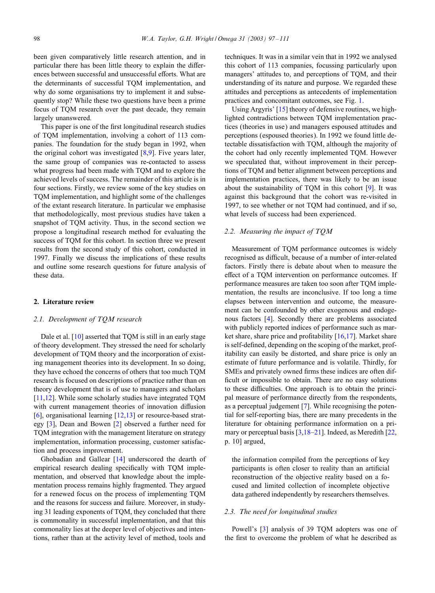been given comparatively little research attention, and in particular there has been little theory to explain the differences between successful and unsuccessful efforts. What are the determinants of successful TQM implementation, and why do some organisations try to implement it and subsequently stop? While these two questions have been a prime focus of TQM research over the past decade, they remain largely unanswered.

This paper is one of the first longitudinal research studies of TQM implementation, involving a cohort of 113 companies. The foundation for the study began in 1992, when the original cohort was investigated [\[8,9\]](#page--1-0). Five years later, the same group of companies was re-contacted to assess what progress had been made with TQM and to explore the achieved levels of success. The remainder of this article is in four sections. Firstly, we review some of the key studies on TQM implementation, and highlight some of the challenges of the extant research literature. In particular we emphasise that methodologically, most previous studies have taken a snapshot of TQM activity. Thus, in the second section we propose a longitudinal research method for evaluating the success of TQM for this cohort. In section three we present results from the second study of this cohort, conducted in 1997. Finally we discuss the implications of these results and outline some research questions for future analysis of these data.

### 2. Literature review

#### *2.1. Development of TQM research*

Dale et al. [\[10\]](#page--1-0) asserted that TQM is still in an early stage of theory development. They stressed the need for scholarly development of TQM theory and the incorporation of existing management theories into its development. In so doing, they have echoed the concerns of others that too much TQM research is focused on descriptions of practice rather than on theory development that is of use to managers and scholars [\[11,12\]](#page--1-0). While some scholarly studies have integrated TQM with current management theories of innovation diffusion [\[6\]](#page--1-0), organisational learning [\[12,13\]](#page--1-0) or resource-based strategy [\[3\]](#page--1-0), Dean and Bowen [\[2\]](#page--1-0) observed a further need for TQM integration with the management literature on strategy implementation, information processing, customer satisfaction and process improvement.

Ghobadian and Gallear [\[14\]](#page--1-0) underscored the dearth of empirical research dealing specifically with TQM implementation, and observed that knowledge about the implementation process remains highly fragmented. They argued for a renewed focus on the process of implementing TQM and the reasons for success and failure. Moreover, in studying 31 leading exponents of TQM, they concluded that there is commonality in successful implementation, and that this commonality lies at the deeper level of objectives and intentions, rather than at the activity level of method, tools and

techniques. It was in a similar vein that in 1992 we analysed this cohort of 113 companies, focussing particularly upon managers' attitudes to, and perceptions of TQM, and their understanding of its nature and purpose. We regarded these attitudes and perceptions as antecedents of implementation practices and concomitant outcomes, see Fig. [1.](#page--1-0)

Using Argyris' [\[15\]](#page--1-0) theory of defensive routines, we highlighted contradictions between TQM implementation practices (theories in use) and managers espoused attitudes and perceptions (espoused theories). In 1992 we found little detectable dissatisfaction with TQM, although the majority of the cohort had only recently implemented TQM. However we speculated that, without improvement in their perceptions of TQM and better alignment between perceptions and implementation practices, there was likely to be an issue about the sustainability of TQM in this cohort [\[9\]](#page--1-0). It was against this background that the cohort was re-visited in 1997, to see whether or not TQM had continued, and if so, what levels of success had been experienced.

#### *2.2. Measuring the impact of TQM*

Measurement of TQM performance outcomes is widely recognised as difficult, because of a number of inter-related factors. Firstly there is debate about when to measure the effect of a TOM intervention on performance outcomes. If performance measures are taken too soon after TQM implementation, the results are inconclusive. If too long a time elapses between intervention and outcome, the measurement can be confounded by other exogenous and endogenous factors [\[4\]](#page--1-0). Secondly there are problems associated with publicly reported indices of performance such as market share, share price and profitability  $[16,17]$ . Market share is self-defined, depending on the scoping of the market, profitability can easily be distorted, and share price is only an estimate of future performance and is volatile. Thirdly, for SMEs and privately owned firms these indices are often difficult or impossible to obtain. There are no easy solutions to these difficulties. One approach is to obtain the principal measure of performance directly from the respondents, as a perceptual judgement [\[7\]](#page--1-0). While recognising the potential for self-reporting bias, there are many precedents in the literature for obtaining performance information on a pri-mary or perceptual basis [\[3,18–21\]](#page--1-0). Indeed, as Meredith [\[22,](#page--1-0) p. 10] argued,

the information compiled from the perceptions of key participants is often closer to reality than an artificial reconstruction of the objective reality based on a focused and limited collection of incomplete objective data gathered independently by researchers themselves.

#### *2.3. The need for longitudinal studies*

Powell's [\[3\]](#page--1-0) analysis of 39 TQM adopters was one of the first to overcome the problem of what he described as